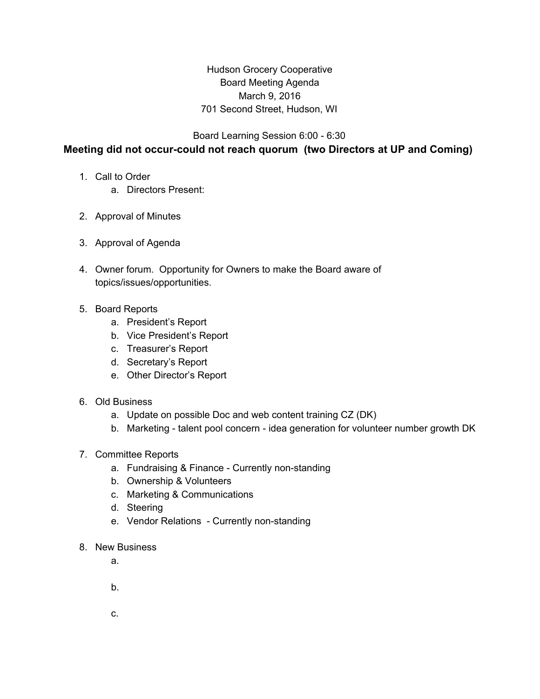## Hudson Grocery Cooperative Board Meeting Agenda March 9, 2016 701 Second Street, Hudson, WI

Board Learning Session 6:00 - 6:30

## **Meeting did not occur-could not reach quorum (two Directors at UP and Coming)**

- 1. Call to Order
	- a. Directors Present:
- 2. Approval of Minutes
- 3. Approval of Agenda
- 4. Owner forum. Opportunity for Owners to make the Board aware of topics/issues/opportunities.
- 5. Board Reports
	- a. President's Report
	- b. Vice President's Report
	- c. Treasurer's Report
	- d. Secretary's Report
	- e. Other Director's Report
- 6. Old Business
	- a. Update on possible Doc and web content training CZ (DK)
	- b. Marketing talent pool concern idea generation for volunteer number growth DK
- 7. Committee Reports
	- a. Fundraising & Finance Currently non-standing
	- b. Ownership & Volunteers
	- c. Marketing & Communications
	- d. Steering
	- e. Vendor Relations Currently non-standing
- 8. New Business
	- a.
	- b.
	- c.